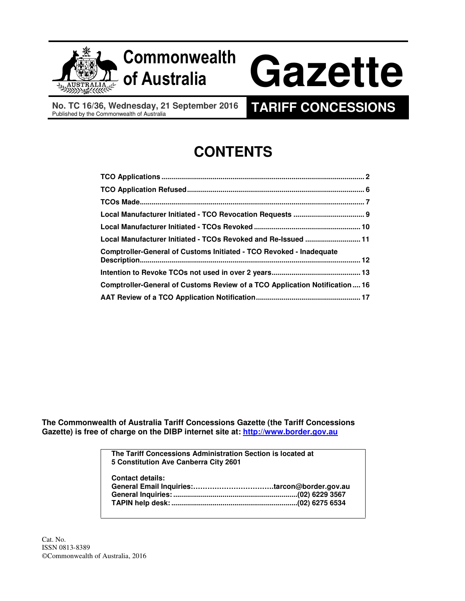

## of Australia Commonwealth

# Gazette

 **No. TC 16/36, Wednesday, 21 September 2016**  No. TC 16/36, Wednesday, 21 September 2016 **TARIFF CONCESSIONS**<br>Published by the Commonwealth of Australia

## **CONTENTS**

| Local Manufacturer Initiated - TCOs Revoked and Re-Issued  11              |  |
|----------------------------------------------------------------------------|--|
| <b>Comptroller-General of Customs Initiated - TCO Revoked - Inadequate</b> |  |
|                                                                            |  |
|                                                                            |  |
| Comptroller-General of Customs Review of a TCO Application Notification16  |  |
|                                                                            |  |

 **The Commonwealth of Australia Tariff Concessions Gazette (the Tariff Concessions Gazette) is free of charge on the DIBP internet site at: http://www.border.gov.au** 

> **The Tariff Concessions Administration Section is located at 5 Constitution Ave Canberra City 2601 Contact details: General Inquiries: ...............................................................(02) 6229 3567 TAPIN help desk: ................................................................(02) 6275 6534 General Email Inquiries:…………………………….tarcon@border.gov.au**

 Cat. No. ISSN 0813-8389 ©Commonwealth of Australia, 2016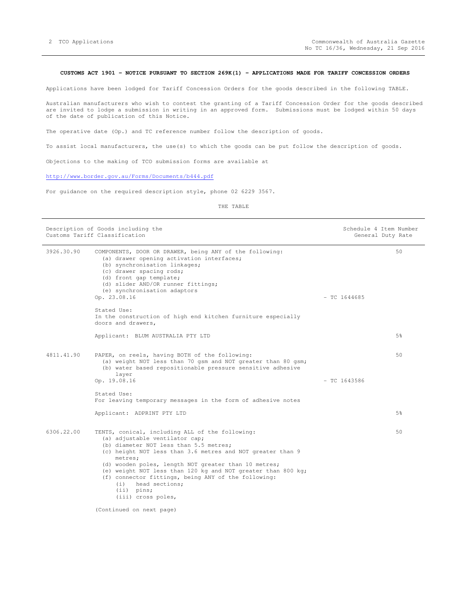#### **CUSTOMS ACT 1901 - NOTICE PURSUANT TO SECTION 269K(1) - APPLICATIONS MADE FOR TARIFF CONCESSION ORDERS**

Applications have been lodged for Tariff Concession Orders for the goods described in the following TABLE.

 Australian manufacturers who wish to contest the granting of a Tariff Concession Order for the goods described are invited to lodge a submission in writing in an approved form. Submissions must be lodged within 50 days of the date of publication of this Notice.

The operative date (Op.) and TC reference number follow the description of goods.

To assist local manufacturers, the use(s) to which the goods can be put follow the description of goods.

Objections to the making of TCO submission forms are available at

http://www.border.gov.au/Forms/Documents/b444.pdf

For guidance on the required description style, phone 02 6229 3567.

|            | Description of Goods including the<br>Customs Tariff Classification                                                                                                                                                                                                                                                                                                                                                                                 | Schedule 4 Item Number | General Duty Rate |
|------------|-----------------------------------------------------------------------------------------------------------------------------------------------------------------------------------------------------------------------------------------------------------------------------------------------------------------------------------------------------------------------------------------------------------------------------------------------------|------------------------|-------------------|
| 3926.30.90 | COMPONENTS, DOOR OR DRAWER, being ANY of the following:<br>(a) drawer opening activation interfaces;<br>(b) synchronisation linkages;<br>(c) drawer spacing rods;<br>(d) front gap template;<br>(d) slider AND/OR runner fittings;<br>(e) synchronisation adaptors<br>Op. 23.08.16                                                                                                                                                                  | $-$ TC 1644685         | 50                |
|            | Stated Use:<br>In the construction of high end kitchen furniture especially<br>doors and drawers,                                                                                                                                                                                                                                                                                                                                                   |                        |                   |
|            | Applicant: BLUM AUSTRALIA PTY LTD                                                                                                                                                                                                                                                                                                                                                                                                                   |                        | 5%                |
| 4811.41.90 | PAPER, on reels, having BOTH of the following:<br>(a) weight NOT less than 70 gsm and NOT greater than 80 gsm;<br>(b) water based repositionable pressure sensitive adhesive<br>layer<br>Op. 19.08.16                                                                                                                                                                                                                                               | $-$ TC 1643586         | 50                |
|            | Stated Use:<br>For leaving temporary messages in the form of adhesive notes                                                                                                                                                                                                                                                                                                                                                                         |                        |                   |
|            | Applicant: ADPRINT PTY LTD                                                                                                                                                                                                                                                                                                                                                                                                                          |                        | 5%                |
| 6306.22.00 | TENTS, conical, including ALL of the following:<br>(a) adjustable ventilator cap;<br>(b) diameter NOT less than 5.5 metres;<br>(c) height NOT less than 3.6 metres and NOT greater than 9<br>metres;<br>(d) wooden poles, length NOT greater than 10 metres;<br>(e) weight NOT less than 120 kg and NOT greater than 800 kg;<br>(f) connector fittings, being ANY of the following:<br>head sections;<br>(i)<br>$(iii)$ pins;<br>(iii) cross poles, |                        | 50                |
|            | (Continued on next page)                                                                                                                                                                                                                                                                                                                                                                                                                            |                        |                   |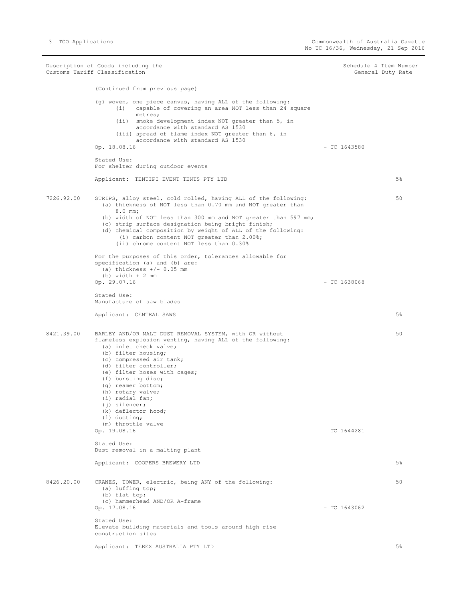Description of Goods including the Schedule 4 Item Number Schedule 4 Item Number Customs Tariff Classification General Duty Rate (Continued from previous page) (g) woven, one piece canvas, having ALL of the following: Op. 18.08.16 Stated Use: Applicant: TENTIPI EVENT TENTS PTY LTD 7226.92.00 STRIPS, alloy steel, cold rolled, having ALL of the following: 50 For the purposes of this order, tolerances allowable for specification (a) and (b) are: Op. 29.07.16 - TC 1638068 Stated Use: Manufacture of saw blades Applicant: CENTRAL SAWS 5% (1999) 38 (1999) 38 (1999) 38 (1999) 38 (1999) 38 (1999) 38 (1999) 38 (1999) 38 (19 8421.39.00 BARLEY AND/OR MALT DUST REMOVAL SYSTEM, with OR without 50 flameless explosion venting, having ALL of the following: Op. 19.08.16 - TC 1644281 Stated Use: Dust removal in a malting plant Applicant: COOPERS BREWERY LTD 5% 8426.20.00 CRANES, TOWER, electric, being ANY of the following: Op. 17.08.16 - TC 1643062 Stated Use: construction sites Applicant: TEREX AUSTRALIA PTY LTD (i) capable of covering an area NOT less than 24 square metres; (ii) smoke development index NOT greater than 5, in accordance with standard AS 1530 (iii) spread of flame index NOT greater than 6, in accordance with standard AS 1530  $-$  TC 1643580 For shelter during outdoor events (a) thickness of NOT less than 0.70 mm and NOT greater than 8.0 mm; (b) width of NOT less than 300 mm and NOT greater than 597 mm; (c) strip surface designation being bright finish; (d) chemical composition by weight of ALL of the following: (i) carbon content NOT greater than 2.00%; (ii) chrome content NOT less than 0.30% (a) thickness  $+/- 0.05$  mm (b) width + 2 mm (a) inlet check valve; (b) filter housing; (c) compressed air tank; (d) filter controller; (e) filter hoses with cages; (f) bursting disc; (g) reamer bottom; (h) rotary valve; (i) radial fan; (j) silencer; (k) deflector hood; (l) ducting; (m) throttle valve 50 (a) luffing top; (b) flat top; (c) hammerhead AND/OR A-frame Elevate building materials and tools around high rise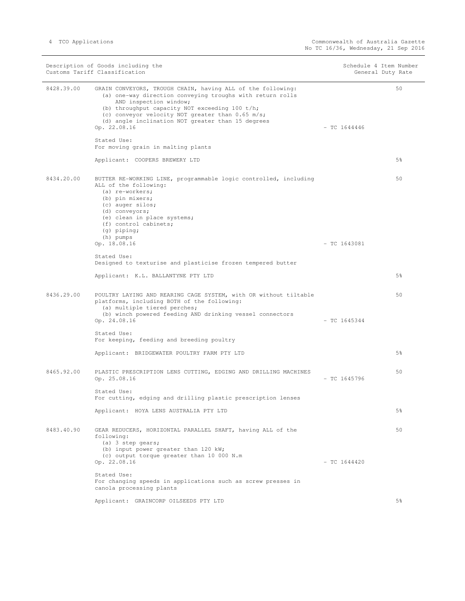i.

|            | Description of Goods including the<br>Customs Tariff Classification                                                                                                                                                                                                                                                           |                | Schedule 4 Item Number<br>General Duty Rate |
|------------|-------------------------------------------------------------------------------------------------------------------------------------------------------------------------------------------------------------------------------------------------------------------------------------------------------------------------------|----------------|---------------------------------------------|
| 8428.39.00 | GRAIN CONVEYORS, TROUGH CHAIN, having ALL of the following:<br>(a) one-way direction conveying troughs with return rolls<br>AND inspection window;<br>(b) throughput capacity NOT exceeding 100 t/h;<br>(c) conveyor velocity NOT greater than 0.65 m/s;<br>(d) angle inclination NOT greater than 15 degrees<br>Op. 22.08.16 | $-$ TC 1644446 | 50                                          |
|            | Stated Use:<br>For moving grain in malting plants                                                                                                                                                                                                                                                                             |                |                                             |
|            | Applicant: COOPERS BREWERY LTD                                                                                                                                                                                                                                                                                                |                | 5 <sup>8</sup>                              |
| 8434.20.00 | BUTTER RE-WORKING LINE, programmable logic controlled, including<br>ALL of the following:<br>(a) re-workers;<br>(b) pin mixers;<br>(c) auger silos;<br>(d) conveyors;<br>(e) clean in place systems;<br>(f) control cabinets;<br>$(q)$ piping;<br>(h) pumps                                                                   |                | 50                                          |
|            | Op. 18.08.16<br>Stated Use:                                                                                                                                                                                                                                                                                                   | $-$ TC 1643081 |                                             |
|            | Designed to texturise and plasticise frozen tempered butter                                                                                                                                                                                                                                                                   |                |                                             |
|            | Applicant: K.L. BALLANTYNE PTY LTD                                                                                                                                                                                                                                                                                            |                | 5 <sup>8</sup>                              |
| 8436.29.00 | POULTRY LAYING AND REARING CAGE SYSTEM, with OR without tiltable<br>platforms, including BOTH of the following:<br>(a) multiple tiered perches;<br>(b) winch powered feeding AND drinking vessel connectors<br>Op. 24.08.16                                                                                                   | $-$ TC 1645344 | 50                                          |
|            | Stated Use:<br>For keeping, feeding and breeding poultry                                                                                                                                                                                                                                                                      |                |                                             |
|            | Applicant: BRIDGEWATER POULTRY FARM PTY LTD                                                                                                                                                                                                                                                                                   |                | 5 <sup>8</sup>                              |
| 8465.92.00 | PLASTIC PRESCRIPTION LENS CUTTING, EDGING AND DRILLING MACHINES<br>Op. 25.08.16                                                                                                                                                                                                                                               | $-$ TC 1645796 | 50                                          |
|            | Stated Use:<br>For cutting, edging and drilling plastic prescription lenses                                                                                                                                                                                                                                                   |                |                                             |
|            | Applicant: HOYA LENS AUSTRALIA PTY LTD                                                                                                                                                                                                                                                                                        |                | 5%                                          |
| 8483.40.90 | GEAR REDUCERS, HORIZONTAL PARALLEL SHAFT, having ALL of the<br>following:<br>(a) 3 step gears;<br>(b) input power greater than 120 kW;<br>(c) output torque greater than 10 000 N.m<br>Op. 22.08.16                                                                                                                           | $-$ TC 1644420 | 50                                          |
|            | Stated Use:<br>For changing speeds in applications such as screw presses in<br>canola processing plants                                                                                                                                                                                                                       |                |                                             |
|            | Applicant: GRAINCORP OILSEEDS PTY LTD                                                                                                                                                                                                                                                                                         |                | 5%                                          |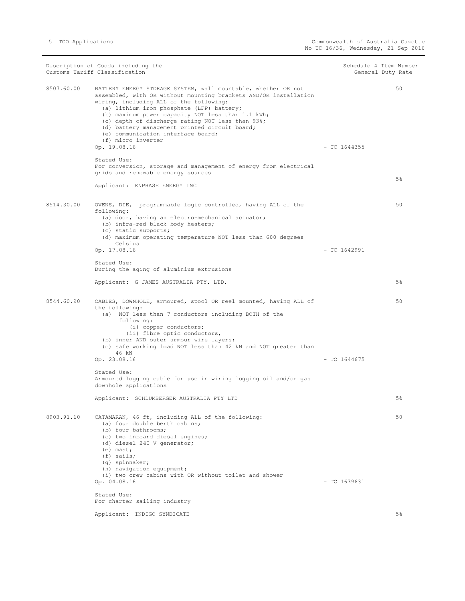$\overline{\phantom{0}}$ 

|            | Description of Goods including the<br>Customs Tariff Classification                                                                                                                                                                                                                                                                                                                                                                             | Schedule 4 Item Number | General Duty Rate |
|------------|-------------------------------------------------------------------------------------------------------------------------------------------------------------------------------------------------------------------------------------------------------------------------------------------------------------------------------------------------------------------------------------------------------------------------------------------------|------------------------|-------------------|
| 8507.60.00 | BATTERY ENERGY STORAGE SYSTEM, wall mountable, whether OR not<br>assembled, with OR without mounting brackets AND/OR installation<br>wiring, including ALL of the following:<br>(a) lithium iron phosphate (LFP) battery;<br>(b) maximum power capacity NOT less than 1.1 kWh;<br>(c) depth of discharge rating NOT less than 93%;<br>(d) battery management printed circuit board;<br>(e) communication interface board;<br>(f) micro inverter |                        | 50                |
|            | Op. 19.08.16                                                                                                                                                                                                                                                                                                                                                                                                                                    | $-$ TC 1644355         |                   |
|            | Stated Use:<br>For conversion, storage and management of energy from electrical<br>grids and renewable energy sources                                                                                                                                                                                                                                                                                                                           |                        | 5 <sup>8</sup>    |
|            | Applicant: ENPHASE ENERGY INC                                                                                                                                                                                                                                                                                                                                                                                                                   |                        |                   |
| 8514.30.00 | OVENS, DIE, programmable logic controlled, having ALL of the<br>following:<br>(a) door, having an electro-mechanical actuator;<br>(b) infra-red black body heaters;<br>(c) static supports;<br>(d) maximum operating temperature NOT less than 600 degrees                                                                                                                                                                                      |                        | 50                |
|            | Celsius<br>Op. 17.08.16                                                                                                                                                                                                                                                                                                                                                                                                                         | $-$ TC 1642991         |                   |
|            | Stated Use:<br>During the aging of aluminium extrusions                                                                                                                                                                                                                                                                                                                                                                                         |                        |                   |
|            | Applicant: G JAMES AUSTRALIA PTY. LTD.                                                                                                                                                                                                                                                                                                                                                                                                          |                        | 5%                |
| 8544.60.90 | CABLES, DOWNHOLE, armoured, spool OR reel mounted, having ALL of<br>the following:<br>(a) NOT less than 7 conductors including BOTH of the<br>following:<br>(i) copper conductors;<br>(ii) fibre optic conductors,<br>(b) inner AND outer armour wire layers;<br>(c) safe working load NOT less than 42 kN and NOT greater than                                                                                                                 |                        | 50                |
|            | 46 kN<br>Op. 23.08.16                                                                                                                                                                                                                                                                                                                                                                                                                           | $-$ TC 1644675         |                   |
|            | Stated Use:<br>Armoured logging cable for use in wiring logging oil and/or gas<br>downhole applications                                                                                                                                                                                                                                                                                                                                         |                        |                   |
|            | Applicant: SCHLUMBERGER AUSTRALIA PTY LTD                                                                                                                                                                                                                                                                                                                                                                                                       |                        | 5%                |
| 8903.91.10 | CATAMARAN, 46 ft, including ALL of the following:<br>(a) four double berth cabins;<br>(b) four bathrooms;<br>(c) two inboard diesel engines;<br>(d) diesel 240 V generator;<br>$(e)$ mast;<br>$(f)$ sails;<br>(g) spinnaker;<br>(h) navigation equipment;<br>(i) two crew cabins with OR without toilet and shower                                                                                                                              |                        | 50                |
|            | Op. 04.08.16<br>Stated Use:                                                                                                                                                                                                                                                                                                                                                                                                                     | $-$ TC 1639631         |                   |
|            | For charter sailing industry                                                                                                                                                                                                                                                                                                                                                                                                                    |                        |                   |
|            | Applicant: INDIGO SYNDICATE                                                                                                                                                                                                                                                                                                                                                                                                                     |                        | 5%                |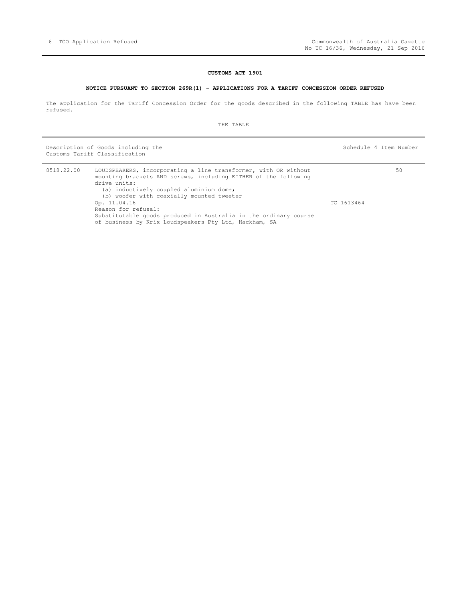#### **CUSTOMS ACT 1901**

#### **NOTICE PURSUANT TO SECTION 269R(1) - APPLICATIONS FOR A TARIFF CONCESSION ORDER REFUSED**

 The application for the Tariff Concession Order for the goods described in the following TABLE has have been refused.

THE TABLE

Description of Goods including the Schedule 4 Item Number Schedule 4 Item Number Customs Tariff Classification

| 8518.22.00 | LOUDSPEAKERS, incorporating a line transformer, with OR without<br>mounting brackets AND screws, including EITHER of the following<br>drive units:               |                | 50 |
|------------|------------------------------------------------------------------------------------------------------------------------------------------------------------------|----------------|----|
|            | (a) inductively coupled aluminium dome;<br>(b) woofer with coaxially mounted tweeter                                                                             |                |    |
|            | Op. 11.04.16<br>Reason for refusal:<br>Substitutable goods produced in Australia in the ordinary course<br>of business by Krix Loudspeakers Pty Ltd, Hackham, SA | $-$ TC 1613464 |    |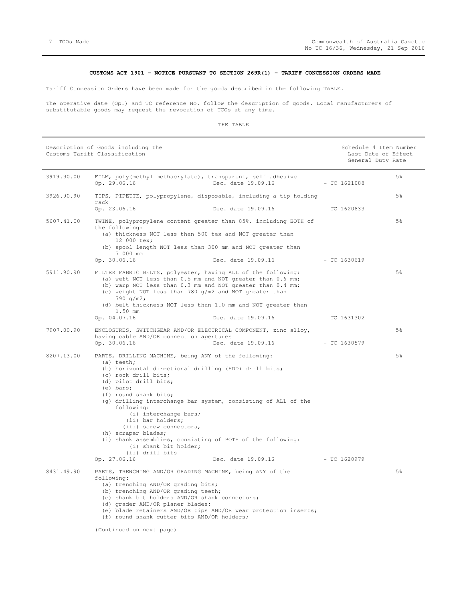#### **CUSTOMS ACT 1901 - NOTICE PURSUANT TO SECTION 269R(1) - TARIFF CONCESSION ORDERS MADE**

Tariff Concession Orders have been made for the goods described in the following TABLE.

 The operative date (Op.) and TC reference No. follow the description of goods. Local manufacturers of substitutable goods may request the revocation of TCOs at any time.

#### THE TABLE

|            | Description of Goods including the<br>Customs Tariff Classification                                                                                                                                                                                                                                                                                                                                                                                                                                                             |                    | Schedule 4 Item Number<br>Last Date of Effect<br>General Duty Rate |    |
|------------|---------------------------------------------------------------------------------------------------------------------------------------------------------------------------------------------------------------------------------------------------------------------------------------------------------------------------------------------------------------------------------------------------------------------------------------------------------------------------------------------------------------------------------|--------------------|--------------------------------------------------------------------|----|
| 3919.90.00 | FILM, poly(methyl methacrylate), transparent, self-adhesive<br>Op. 29.06.16                                                                                                                                                                                                                                                                                                                                                                                                                                                     | Dec. date 19.09.16 | $-$ TC 1621088                                                     | 5% |
| 3926.90.90 | TIPS, PIPETTE, polypropylene, disposable, including a tip holding<br>rack                                                                                                                                                                                                                                                                                                                                                                                                                                                       |                    |                                                                    | 5% |
|            | Op. 23.06.16                                                                                                                                                                                                                                                                                                                                                                                                                                                                                                                    | Dec. date 19.09.16 | $-$ TC 1620833                                                     |    |
| 5607.41.00 | TWINE, polypropylene content greater than 85%, including BOTH of<br>the following:<br>(a) thickness NOT less than 500 tex and NOT greater than<br>12 000 tex;<br>(b) spool length NOT less than 300 mm and NOT greater than<br>7 000 mm                                                                                                                                                                                                                                                                                         |                    |                                                                    | 5% |
|            | Op. 30.06.16                                                                                                                                                                                                                                                                                                                                                                                                                                                                                                                    | Dec. date 19.09.16 | $-$ TC 1630619                                                     |    |
| 5911.90.90 | FILTER FABRIC BELTS, polyester, having ALL of the following:<br>(a) weft NOT less than 0.5 mm and NOT greater than 0.6 mm;<br>(b) warp NOT less than 0.3 mm and NOT greater than 0.4 mm;<br>(c) weight NOT less than 780 g/m2 and NOT greater than<br>790 q/m2;<br>(d) belt thickness NOT less than 1.0 mm and NOT greater than<br>1.50 mm                                                                                                                                                                                      |                    |                                                                    | 5% |
|            | Op. 04.07.16                                                                                                                                                                                                                                                                                                                                                                                                                                                                                                                    | Dec. date 19.09.16 | $-$ TC 1631302                                                     |    |
| 7907.00.90 | ENCLOSURES, SWITCHGEAR AND/OR ELECTRICAL COMPONENT, zinc alloy,<br>having cable AND/OR connection apertures<br>Op. 30.06.16                                                                                                                                                                                                                                                                                                                                                                                                     | Dec. date 19.09.16 | - TC 1630579                                                       | 5% |
| 8207.13.00 | PARTS, DRILLING MACHINE, being ANY of the following:<br>$(a)$ teeth;<br>(b) horizontal directional drilling (HDD) drill bits;<br>(c) rock drill bits;<br>(d) pilot drill bits;<br>$(e)$ bars;<br>(f) round shank bits;<br>(g) drilling interchange bar system, consisting of ALL of the<br>following:<br>(i) interchange bars;<br>(ii) bar holders;<br>(iii) screw connectors,<br>(h) scraper blades;<br>(i) shank assemblies, consisting of BOTH of the following:<br>(i) shank bit holder;<br>(ii) drill bits<br>Op. 27.06.16 | Dec. date 19.09.16 | - TC 1620979                                                       | 5% |
| 8431.49.90 | PARTS, TRENCHING AND/OR GRADING MACHINE, being ANY of the<br>following:<br>(a) trenching AND/OR grading bits;<br>(b) trenching AND/OR grading teeth;<br>(c) shank bit holders AND/OR shank connectors;<br>(d) grader AND/OR planer blades;<br>(e) blade retainers AND/OR tips AND/OR wear protection inserts;<br>(f) round shank cutter bits AND/OR holders;                                                                                                                                                                    |                    |                                                                    | 5% |

(Continued on next page)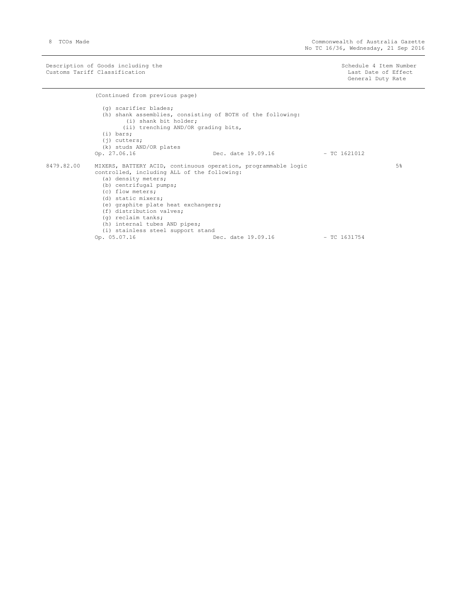Description of Goods including the Schedule 4 Item Number Schedule 4 Item Number Customs Tariff Classification and the control of the control of the control of the control of the control of  $\Gamma$ 

General Duty Rate

(Continued from previous page)

|            | (q) scarifier blades;<br>(h) shank assemblies, consisting of BOTH of the following:<br>(i) shank bit holder;<br>(ii) trenching AND/OR grading bits,<br>$(i)$ bars;<br>$(i)$ cutters;<br>(k) studs AND/OR plates<br>Op. 27.06.16                                                                                                                                                         | Dec. date 19.09.16 | $-$ TC 1621012 |    |
|------------|-----------------------------------------------------------------------------------------------------------------------------------------------------------------------------------------------------------------------------------------------------------------------------------------------------------------------------------------------------------------------------------------|--------------------|----------------|----|
| 8479.82.00 | MIXERS, BATTERY ACID, continuous operation, programmable logic<br>controlled, including ALL of the following:<br>(a) density meters;<br>(b) centrifugal pumps;<br>(c) flow meters;<br>(d) static mixers;<br>(e) graphite plate heat exchangers;<br>(f) distribution valves;<br>(q) reclaim tanks;<br>(h) internal tubes AND pipes;<br>(i) stainless steel support stand<br>Op. 05.07.16 | Dec. date 19.09.16 | $-$ TC 1631754 | 5% |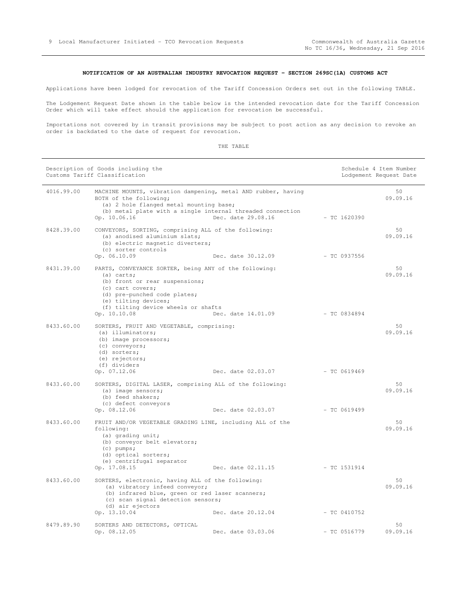#### **NOTIFICATION OF AN AUSTRALIAN INDUSTRY REVOCATION REQUEST - SECTION 269SC(1A) CUSTOMS ACT**

Applications have been lodged for revocation of the Tariff Concession Orders set out in the following TABLE.

 The Lodgement Request Date shown in the table below is the intended revocation date for the Tariff Concession Order which will take effect should the application for revocation be successful.

 Importations not covered by in transit provisions may be subject to post action as any decision to revoke an order is backdated to the date of request for revocation.

|            | Description of Goods including the<br>Customs Tariff Classification                                                                                                                                                                        |                    |                | Schedule 4 Item Number<br>Lodgement Request Date |
|------------|--------------------------------------------------------------------------------------------------------------------------------------------------------------------------------------------------------------------------------------------|--------------------|----------------|--------------------------------------------------|
| 4016.99.00 | MACHINE MOUNTS, vibration dampening, metal AND rubber, having<br>BOTH of the following;<br>(a) 2 hole flanged metal mounting base;<br>(b) metal plate with a single internal threaded connection<br>Op. 10.06.16                           | Dec. date 29.08.16 | $-$ TC 1620390 | 50<br>09.09.16                                   |
| 8428.39.00 | CONVEYORS, SORTING, comprising ALL of the following:<br>(a) anodised aluminium slats;<br>(b) electric magnetic diverters;<br>(c) sorter controls<br>Op. 06.10.09                                                                           | Dec. date 30.12.09 | - TC 0937556   | 50<br>09.09.16                                   |
| 8431.39.00 | PARTS, CONVEYANCE SORTER, being ANY of the following:<br>$(a)$ carts;<br>(b) front or rear suspensions;<br>(c) cart covers;<br>(d) pre-punched code plates;<br>(e) tilting devices;<br>(f) tilting device wheels or shafts<br>Op. 10.10.08 | Dec. date 14.01.09 | - TC 0834894   | 50<br>09.09.16                                   |
| 8433.60.00 | SORTERS, FRUIT AND VEGETABLE, comprising:<br>(a) illuminators;<br>(b) image processors;<br>(c) conveyors;<br>(d) sorters;<br>(e) rejectors;<br>(f) dividers<br>Op. 07.12.06                                                                | Dec. date 02.03.07 | - TC 0619469   | 50<br>09.09.16                                   |
| 8433.60.00 | SORTERS, DIGITAL LASER, comprising ALL of the following:<br>(a) image sensors;<br>(b) feed shakers;<br>(c) defect conveyors<br>Op. 08.12.06                                                                                                | Dec. date 02.03.07 | $-$ TC 0619499 | 50<br>09.09.16                                   |
| 8433.60.00 | FRUIT AND/OR VEGETABLE GRADING LINE, including ALL of the<br>following:<br>(a) grading unit;<br>(b) conveyor belt elevators;<br>$(c)$ pumps;<br>(d) optical sorters;<br>(e) centrifugal separator<br>Op. 17.08.15                          | Dec. date 02.11.15 | $-$ TC 1531914 | 50<br>09.09.16                                   |
| 8433.60.00 | SORTERS, electronic, having ALL of the following:<br>(a) vibratory infeed conveyor;<br>(b) infrared blue, green or red laser scanners;<br>(c) scan signal detection sensors;<br>(d) air ejectors<br>Op. 13.10.04                           | Dec. date 20.12.04 | $-$ TC 0410752 | 50<br>09.09.16                                   |
| 8479.89.90 | SORTERS AND DETECTORS, OPTICAL<br>Op. 08.12.05                                                                                                                                                                                             | Dec. date 03.03.06 | $-$ TC 0516779 | 50<br>09.09.16                                   |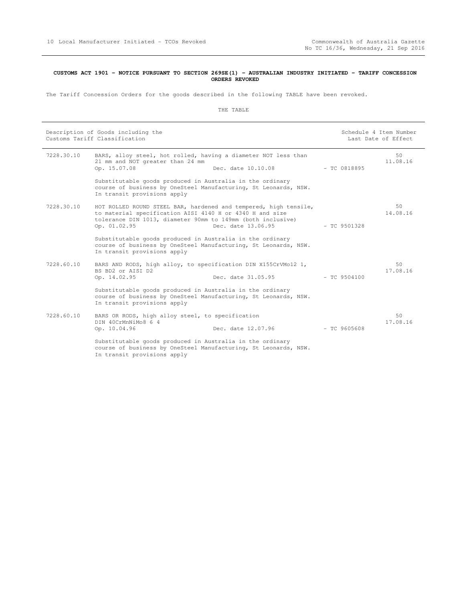#### **CUSTOMS ACT 1901 - NOTICE PURSUANT TO SECTION 269SE(1) - AUSTRALIAN INDUSTRY INITIATED - TARIFF CONCESSION ORDERS REVOKED**

The Tariff Concession Orders for the goods described in the following TABLE have been revoked.

| Description of Goods including the<br>Customs Tariff Classification |                                                                                                                                         |                                                                                        |                | Schedule 4 Item Number<br>Last Date of Effect |
|---------------------------------------------------------------------|-----------------------------------------------------------------------------------------------------------------------------------------|----------------------------------------------------------------------------------------|----------------|-----------------------------------------------|
| 7228.30.10                                                          | 21 mm and NOT greater than 24 mm<br>Op. 15.07.08                                                                                        | BARS, alloy steel, hot rolled, having a diameter NOT less than<br>Dec. date 10.10.08   | $-$ TC 0818895 | 50<br>11.08.16                                |
|                                                                     | Substitutable goods produced in Australia in the ordinary<br>In transit provisions apply                                                | course of business by OneSteel Manufacturing, St Leonards, NSW.                        |                |                                               |
| 7228.30.10                                                          | to material specification AISI 4140 H or 4340 H and size<br>tolerance DIN 1013, diameter 90mm to 149mm (both inclusive)<br>Op. 01.02.95 | HOT ROLLED ROUND STEEL BAR, hardened and tempered, high tensile,<br>Dec. date 13.06.95 | $-$ TC 9501328 | 50<br>14.08.16                                |
|                                                                     | Substitutable goods produced in Australia in the ordinary<br>In transit provisions apply                                                | course of business by OneSteel Manufacturing, St Leonards, NSW.                        |                |                                               |
| 7228.60.10                                                          | BARS AND RODS, high alloy, to specification DIN X155CrVMo12 1,<br>BS BD2 or AISI D2<br>Op. 14.02.95                                     | Dec. date 31.05.95                                                                     | $- TC$ 9504100 | 50<br>17.08.16                                |
|                                                                     | Substitutable goods produced in Australia in the ordinary<br>In transit provisions apply                                                | course of business by OneSteel Manufacturing, St Leonards, NSW.                        |                |                                               |
| 7228.60.10                                                          | BARS OR RODS, high alloy steel, to specification<br>DIN 40CrMnNiMo8 6 4<br>Op. 10.04.96                                                 | Dec. date 12.07.96                                                                     | $-$ TC 9605608 | 50<br>17.08.16                                |
|                                                                     | Substitutable goods produced in Australia in the ordinary<br>In transit provisions apply                                                | course of business by OneSteel Manufacturing, St Leonards, NSW.                        |                |                                               |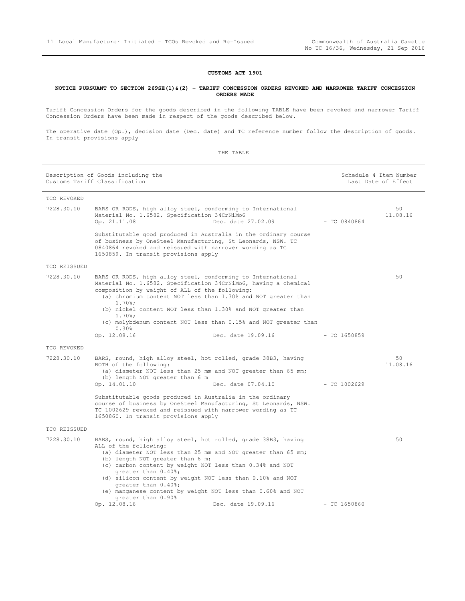#### **CUSTOMS ACT 1901**

#### **NOTICE PURSUANT TO SECTION 269SE(1)&(2) - TARIFF CONCESSION ORDERS REVOKED AND NARROWER TARIFF CONCESSION ORDERS MADE**

 Tariff Concession Orders for the goods described in the following TABLE have been revoked and narrower Tariff Concession Orders have been made in respect of the goods described below.

 The operative date (Op.), decision date (Dec. date) and TC reference number follow the description of goods. In-transit provisions apply

|                            | Description of Goods including the<br>Customs Tariff Classification                                                                                                                                       |                                                                                                                                  |                | Schedule 4 Item Number<br>Last Date of Effect |
|----------------------------|-----------------------------------------------------------------------------------------------------------------------------------------------------------------------------------------------------------|----------------------------------------------------------------------------------------------------------------------------------|----------------|-----------------------------------------------|
| TCO REVOKED                |                                                                                                                                                                                                           |                                                                                                                                  |                |                                               |
| 7228.30.10                 | BARS OR RODS, high alloy steel, conforming to International<br>Material No. 1.6582, Specification 34CrNiMo6<br>Op. 21.11.08                                                                               | Dec. date 27.02.09                                                                                                               | $-$ TC 0840864 | 50<br>11.08.16                                |
|                            | of business by OneSteel Manufacturing, St Leonards, NSW. TC<br>0840864 revoked and reissued with narrower wording as TC<br>1650859. In transit provisions apply                                           | Substitutable good produced in Australia in the ordinary course                                                                  |                |                                               |
| TCO REISSUED               |                                                                                                                                                                                                           |                                                                                                                                  |                |                                               |
| 7228.30.10                 | BARS OR RODS, high alloy steel, conforming to International<br>composition by weight of ALL of the following:<br>$1.70$ <sup>8</sup> ;                                                                    | Material No. 1.6582, Specification 34CrNiMo6, having a chemical<br>(a) chromium content NOT less than 1.30% and NOT greater than |                | 50                                            |
|                            | $1.70$ <sup>8</sup> ;                                                                                                                                                                                     | (b) nickel content NOT less than 1.30% and NOT greater than                                                                      |                |                                               |
|                            | 0.30%                                                                                                                                                                                                     | (c) molybdenum content NOT less than 0.15% and NOT greater than                                                                  |                |                                               |
|                            | Op. 12.08.16                                                                                                                                                                                              | Dec. date 19.09.16                                                                                                               | $-$ TC 1650859 |                                               |
| TCO REVOKED                |                                                                                                                                                                                                           |                                                                                                                                  |                |                                               |
| 7228.30.10                 | BARS, round, high alloy steel, hot rolled, grade 38B3, having<br>BOTH of the following:                                                                                                                   | (a) diameter NOT less than 25 mm and NOT greater than 65 mm;                                                                     |                | 50<br>11.08.16                                |
|                            | (b) length NOT greater than 6 m                                                                                                                                                                           |                                                                                                                                  |                |                                               |
|                            | Op. 14.01.10<br>Substitutable goods produced in Australia in the ordinary<br>TC 1002629 revoked and reissued with narrower wording as TC<br>1650860. In transit provisions apply                          | Dec. date 07.04.10<br>course of business by OneSteel Manufacturing, St Leonards, NSW.                                            | - TC 1002629   |                                               |
|                            |                                                                                                                                                                                                           |                                                                                                                                  |                |                                               |
| TCO REISSUED<br>7228.30.10 | BARS, round, high alloy steel, hot rolled, grade 38B3, having                                                                                                                                             |                                                                                                                                  |                | 50                                            |
|                            | ALL of the following:<br>(b) length NOT greater than 6 m;<br>(c) carbon content by weight NOT less than 0.34% and NOT<br>greater than 0.40%;<br>(d) silicon content by weight NOT less than 0.10% and NOT | (a) diameter NOT less than 25 mm and NOT greater than 65 mm;                                                                     |                |                                               |
|                            | greater than 0.40%;                                                                                                                                                                                       | (e) manganese content by weight NOT less than 0.60% and NOT                                                                      |                |                                               |
|                            | greater than 0.90%<br>Op. 12.08.16                                                                                                                                                                        | Dec. date 19.09.16                                                                                                               | $-$ TC 1650860 |                                               |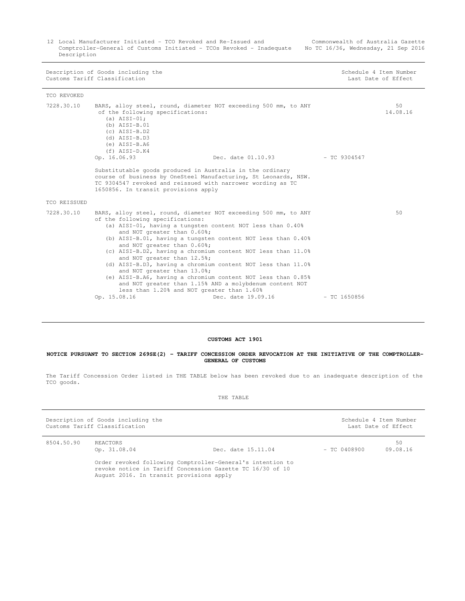12 Local Manufacturer Initiated - TCO Revoked and Re-Issued and Commonwealth of Australia Gazette Comptroller-General of Customs Initiated - TCOs Revoked - Inadequate No TC 16/36, Wednesday, 21 Sep 2016 Description

|              | Description of Goods including the<br>Customs Tariff Classification                                                                                                                                                                                                                                                                         |                                                                                                                                                                                                                                                                                                                         | Schedule 4 Item Number<br>Last Date of Effect |
|--------------|---------------------------------------------------------------------------------------------------------------------------------------------------------------------------------------------------------------------------------------------------------------------------------------------------------------------------------------------|-------------------------------------------------------------------------------------------------------------------------------------------------------------------------------------------------------------------------------------------------------------------------------------------------------------------------|-----------------------------------------------|
| TCO REVOKED  |                                                                                                                                                                                                                                                                                                                                             |                                                                                                                                                                                                                                                                                                                         |                                               |
| 7228.30.10   | BARS, alloy steel, round, diameter NOT exceeding 500 mm, to ANY<br>of the following specifications:<br>(a) $AIST-01;$<br>$(b)$ AISI-B.01<br>$(c)$ AISI-B.D2<br>$(d)$ AISI-B.D3<br>$(e)$ AISI-B.A6<br>$(f)$ AISI-D.K4<br>Op. 16.06.93                                                                                                        | Dec. date 01.10.93 - TC 9304547                                                                                                                                                                                                                                                                                         | 50<br>14.08.16                                |
|              | Substitutable goods produced in Australia in the ordinary<br>course of business by OneSteel Manufacturing, St Leonards, NSW.<br>TC 9304547 revoked and reissued with narrower wording as TC<br>1650856. In transit provisions apply                                                                                                         |                                                                                                                                                                                                                                                                                                                         |                                               |
| TCO REISSUED |                                                                                                                                                                                                                                                                                                                                             |                                                                                                                                                                                                                                                                                                                         |                                               |
| 7228.30.10   | BARS, alloy steel, round, diameter NOT exceeding 500 mm, to ANY<br>of the following specifications:<br>(a) AISI-01, having a tungsten content NOT less than 0.40%<br>and NOT greater than 0.60%;<br>and NOT greater than 0.60%;<br>and NOT greater than 12.5%;<br>and NOT greater than 13.0%;<br>less than 1.20% and NOT greater than 1.60% | (b) AISI-B.01, having a tungsten content NOT less than 0.40%<br>(c) AISI-B.D2, having a chromium content NOT less than 11.0%<br>(d) AISI-B.D3, having a chromium content NOT less than 11.0%<br>(e) AISI-B.A6, having a chromium content NOT less than 0.85%<br>and NOT greater than 1.15% AND a molybdenum content NOT | 50                                            |
|              | Op. 15.08.16                                                                                                                                                                                                                                                                                                                                | Dec. date 19.09.16                                                                                                                                                                                                                                                                                                      | $-$ TC 1650856                                |

#### **CUSTOMS ACT 1901**

#### **NOTICE PURSUANT TO SECTION 269SE(2) - TARIFF CONCESSION ORDER REVOCATION AT THE INITIATIVE OF THE COMPTROLLER- GENERAL OF CUSTOMS**

 The Tariff Concession Order listed in THE TABLE below has been revoked due to an inadequate description of the TCO goods.

| Description of Goods including the<br>Customs Tariff Classification |                                          |                                                                                                                         | Schedule 4 Item Number<br>Last Date of Effect |                |
|---------------------------------------------------------------------|------------------------------------------|-------------------------------------------------------------------------------------------------------------------------|-----------------------------------------------|----------------|
| 8504.50.90                                                          | REACTORS<br>Op. 31.08.04                 | Dec. date 15.11.04                                                                                                      | $-$ TC 0408900                                | 50<br>09.08.16 |
|                                                                     | August 2016. In transit provisions apply | Order revoked following Comptroller-General's intention to<br>revoke notice in Tariff Concession Gazette TC 16/30 of 10 |                                               |                |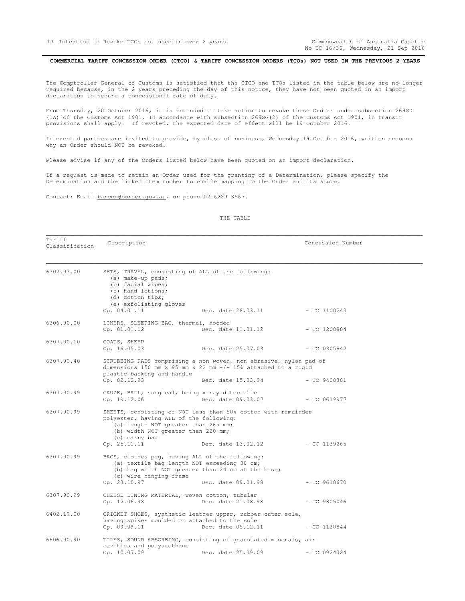No TC 16/36, Wednesday, 21 Sep 2016

<span id="page-12-0"></span>COMMERCIAL TARIFF CONCESSION ORDER (CTCO) & TARIFF CONCESSION ORDERS (TCOs) NOT USED IN THE PREVIOUS 2 YEARS

 The Comptroller-General of Customs is satisfied that the CTCO and TCOs listed in the table below are no longer required because, in the 2 years preceding the day of this notice, they have not been quoted in an import declaration to secure a concessional rate of duty.

 From Thursday, 20 October 2016, it is intended to take action to revoke these Orders under subsection 269SD (1A) of the Customs Act 1901. In accordance with subsection 269SG(2) of the Customs Act 1901, in transit provisions shall apply. If revoked, the expected date of effect will be 19 October 2016.

 Interested parties are invited to provide, by close of business, Wednesday 19 October 2016, written reasons why an Order should NOT be revoked.

Please advise if any of the Orders listed below have been quoted on an import declaration.

 If a request is made to retain an Order used for the granting of a Determination, please specify the Determination and the linked Item number to enable mapping to the Order and its scope.

Contact: Email tarcon@border.gov.au, or phone 02 6229 3567.

#### THE TABLE

\_\_\_\_\_\_\_\_\_\_\_\_\_\_\_\_\_\_\_\_\_\_\_\_\_\_\_\_\_\_\_\_\_\_\_\_\_\_\_\_\_\_\_\_\_\_\_\_\_\_\_\_\_\_\_\_\_\_\_\_\_\_\_\_\_\_\_\_\_\_\_\_\_\_\_\_\_\_\_\_\_\_\_\_\_\_\_\_\_\_\_\_\_\_\_\_\_\_\_\_\_\_\_\_\_\_\_\_\_\_

| Tariff<br>Classification | Description                                                                                                                                                        |                                                                                     | Concession Number |  |
|--------------------------|--------------------------------------------------------------------------------------------------------------------------------------------------------------------|-------------------------------------------------------------------------------------|-------------------|--|
| 6302.93.00               | SETS, TRAVEL, consisting of ALL of the following:<br>(a) make-up pads;<br>(b) facial wipes;<br>(c) hand lotions;<br>(d) cotton tips;<br>(e) exfoliating gloves     |                                                                                     |                   |  |
|                          | Op. 04.01.11                                                                                                                                                       | Dec. date 28.03.11                                                                  | $-$ TC 1100243    |  |
| 6306.90.00               | LINERS, SLEEPING BAG, thermal, hooded<br>Op. 01.01.12                                                                                                              | Dec. date 11.01.12                                                                  | - TC 1200804      |  |
| 6307.90.10               | COATS, SHEEP<br>Op. 16.05.03                                                                                                                                       | Dec. date 25.07.03                                                                  | $-$ TC 0305842    |  |
| 6307.90.40               | SCRUBBING PADS comprising a non woven, non abrasive, nylon pad of<br>dimensions 150 mm x 95 mm x 22 mm $+/-$ 15% attached to a rigid<br>plastic backing and handle |                                                                                     |                   |  |
|                          | Op. 02.12.93                                                                                                                                                       | Dec. date 15.03.94                                                                  | $-$ TC 9400301    |  |
| 6307.90.99               | GAUZE, BALL, surgical, being x-ray detectable<br>Op. 19.12.06                                                                                                      | Dec. date 09.03.07                                                                  | - TC 0619977      |  |
| 6307.90.99               | polyester, having ALL of the following:<br>(a) length NOT greater than 265 mm;<br>(b) width NOT greater than 220 mm;<br>(c) carry bag<br>Op. 25.11.11              | SHEETS, consisting of NOT less than 50% cotton with remainder<br>Dec. date 13.02.12 | - TC 1139265      |  |
| 6307.90.99               | BAGS, clothes peq, having ALL of the following:<br>(a) textile bag length NOT exceeding 30 cm;<br>(c) wire hanging frame<br>Op. 23.10.97                           | (b) bag width NOT greater than 24 cm at the base;<br>Dec. date 09.01.98             | $-$ TC 9610670    |  |
| 6307.90.99               | CHEESE LINING MATERIAL, woven cotton, tubular<br>Op. 12.06.98                                                                                                      | Dec. date 21.08.98                                                                  | $-$ TC 9805046    |  |
| 6402.19.00               | having spikes moulded or attached to the sole<br>Op. 09.09.11                                                                                                      | CRICKET SHOES, synthetic leather upper, rubber outer sole,<br>Dec. date 05.12.11    | $-$ TC 1130844    |  |
| 6806.90.90               | cavities and polyurethane                                                                                                                                          | TILES, SOUND ABSORBING, consisting of granulated minerals, air                      |                   |  |
|                          | Op. 10.07.09                                                                                                                                                       | Dec. date 25.09.09                                                                  | $-$ TC 0924324    |  |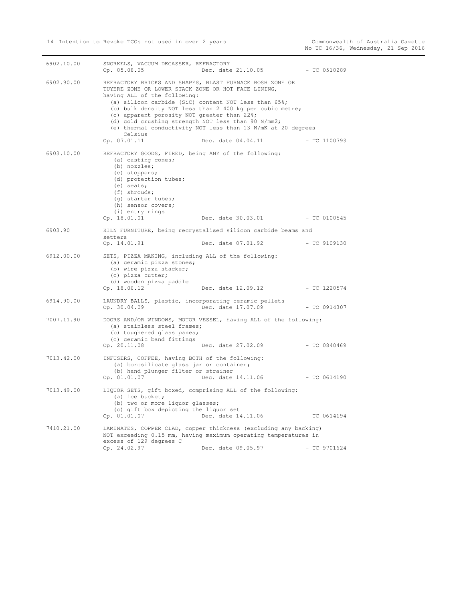| 6902.10.00 | SNORKELS, VACUUM DEGASSER, REFRACTORY<br>Op. 05.08.05                                                                                                                                                                                                 | Dec. date 21.10.05                                                                                                                                                                                                                                                 | $-$ TC 0510289 |
|------------|-------------------------------------------------------------------------------------------------------------------------------------------------------------------------------------------------------------------------------------------------------|--------------------------------------------------------------------------------------------------------------------------------------------------------------------------------------------------------------------------------------------------------------------|----------------|
| 6902.90.00 | TUYERE ZONE OR LOWER STACK ZONE OR HOT FACE LINING,<br>having ALL of the following:<br>(c) apparent porosity NOT greater than 22%;<br>(d) cold crushing strength NOT less than 90 N/mm2;<br>Celsius<br>Op. 07.01.11                                   | REFRACTORY BRICKS AND SHAPES, BLAST FURNACE BOSH ZONE OR<br>(a) silicon carbide (SiC) content NOT less than 65%;<br>(b) bulk density NOT less than 2 400 kg per cubic metre;<br>(e) thermal conductivity NOT less than 13 W/mK at 20 degrees<br>Dec. date 04.04.11 | $-$ TC 1100793 |
| 6903.10.00 | REFRACTORY GOODS, FIRED, being ANY of the following:<br>(a) casting cones;<br>(b) nozzles;<br>(c) stoppers;<br>(d) protection tubes;<br>$(e)$ seats;<br>$(f)$ shrouds;<br>(g) starter tubes;<br>(h) sensor covers;<br>(i) entry rings<br>Op. 18.01.01 | Dec. date 30.03.01                                                                                                                                                                                                                                                 | $-$ TC 0100545 |
| 6903.90    | setters<br>Op. 14.01.91                                                                                                                                                                                                                               | KILN FURNITURE, being recrystalised silicon carbide beams and<br>Dec. date 07.01.92                                                                                                                                                                                | - TC 9109130   |
| 6912.00.00 | SETS, PIZZA MAKING, including ALL of the following:<br>(a) ceramic pizza stones;<br>(b) wire pizza stacker;<br>(c) pizza cutter;<br>(d) wooden pizza paddle<br>Op. 18.06.12                                                                           | Dec. date 12.09.12                                                                                                                                                                                                                                                 | - TC 1220574   |
| 6914.90.00 | LAUNDRY BALLS, plastic, incorporating ceramic pellets<br>Op. 30.04.09                                                                                                                                                                                 | Dec. date 17.07.09                                                                                                                                                                                                                                                 | $-$ TC 0914307 |
| 7007.11.90 | (a) stainless steel frames;<br>(b) toughened glass panes;<br>(c) ceramic band fittings<br>Op. 20.11.08                                                                                                                                                | DOORS AND/OR WINDOWS, MOTOR VESSEL, having ALL of the following:<br>Dec. date 27.02.09                                                                                                                                                                             | $-$ TC 0840469 |
| 7013.42.00 | INFUSERS, COFFEE, having BOTH of the following:<br>(a) borosilicate glass jar or container;<br>(b) hand plunger filter or strainer<br>Op. 01.01.07                                                                                                    | Dec. date 14.11.06                                                                                                                                                                                                                                                 | $-$ TC 0614190 |
| 7013.49.00 | (a) ice bucket;<br>(b) two or more liquor glasses;<br>(c) gift box depicting the liquor set<br>Op. 01.01.07                                                                                                                                           | LIQUOR SETS, gift boxed, comprising ALL of the following:<br>Dec. date 14.11.06                                                                                                                                                                                    | $-$ TC 0614194 |
| 7410.21.00 | excess of 129 degrees C<br>Op. 24.02.97                                                                                                                                                                                                               | LAMINATES, COPPER CLAD, copper thickness (excluding any backing)<br>NOT exceeding 0.15 mm, having maximum operating temperatures in<br>Dec. date 09.05.97                                                                                                          | $-$ TC 9701624 |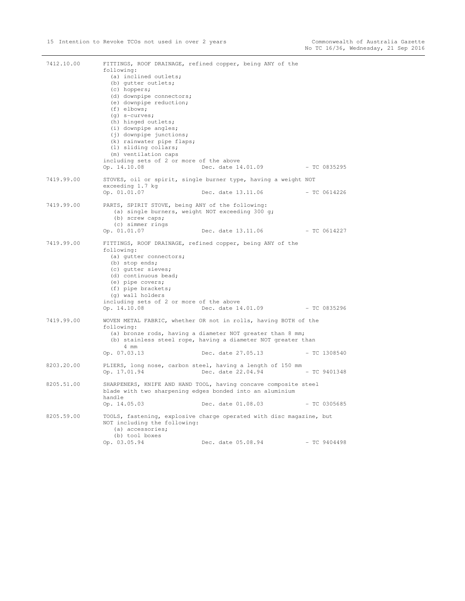| 7412.10.00 | following:<br>(a) inclined outlets;<br>(b) gutter outlets;<br>(c) hoppers;<br>(d) downpipe connectors;<br>(e) downpipe reduction;<br>$(f)$ elbows;<br>$(q)$ s-curves;<br>(h) hinged outlets;<br>(i) downpipe angles;<br>(j) downpipe junctions;<br>(k) rainwater pipe flaps;<br>(1) sliding collars;<br>(m) ventilation caps<br>including sets of 2 or more of the above<br>Op. 14.10.08 | FITTINGS, ROOF DRAINAGE, refined copper, being ANY of the<br>Dec. date 14.01.09 - TC 0835295                                                                                                                       |                |
|------------|------------------------------------------------------------------------------------------------------------------------------------------------------------------------------------------------------------------------------------------------------------------------------------------------------------------------------------------------------------------------------------------|--------------------------------------------------------------------------------------------------------------------------------------------------------------------------------------------------------------------|----------------|
| 7419.99.00 | exceeding 1.7 kg<br>Op. 01.01.07                                                                                                                                                                                                                                                                                                                                                         | STOVES, oil or spirit, single burner type, having a weight NOT<br>Dec. date 13.11.06                                                                                                                               | - TC 0614226   |
| 7419.99.00 | PARTS, SPIRIT STOVE, being ANY of the following:<br>(a) single burners, weight NOT exceeding 300 g;<br>(b) screw caps;<br>(c) simmer rings<br>Op. 01.01.07                                                                                                                                                                                                                               | Dec. date 13.11.06                                                                                                                                                                                                 | $- TC 0614227$ |
| 7419.99.00 | following:<br>(a) gutter connectors;<br>(b) stop ends;<br>(c) qutter sieves;<br>(d) continuous bead;<br>(e) pipe covers;<br>(f) pipe brackets;<br>(q) wall holders<br>including sets of 2 or more of the above<br>Op. 14.10.08                                                                                                                                                           | FITTINGS, ROOF DRAINAGE, refined copper, being ANY of the<br>Dec. date 14.01.09                                                                                                                                    | $- TC 0835296$ |
| 7419.99.00 | following:<br>4 mm<br>Op. 07.03.13                                                                                                                                                                                                                                                                                                                                                       | WOVEN METAL FABRIC, whether OR not in rolls, having BOTH of the<br>(a) bronze rods, having a diameter NOT greater than 8 mm;<br>(b) stainless steel rope, having a diameter NOT greater than<br>Dec. date 27.05.13 | $-$ TC 1308540 |
| 8203.20.00 | Op. 17.01.94                                                                                                                                                                                                                                                                                                                                                                             | PLIERS, long nose, carbon steel, having a length of 150 mm<br>Dec. date 22.04.94                                                                                                                                   | $-$ TC 9401348 |
| 8205.51.00 | handle<br>Op. 14.05.03                                                                                                                                                                                                                                                                                                                                                                   | SHARPENERS, KNIFE AND HAND TOOL, having concave composite steel<br>blade with two sharpening edges bonded into an aluminium<br>Dec. date 01.08.03                                                                  | $-TC$ 0305685  |
| 8205.59.00 | NOT including the following:<br>(a) accessories;<br>(b) tool boxes<br>Op. 03.05.94                                                                                                                                                                                                                                                                                                       | TOOLS, fastening, explosive charge operated with disc magazine, but<br>Dec. date 05.08.94                                                                                                                          | $- TC 9404498$ |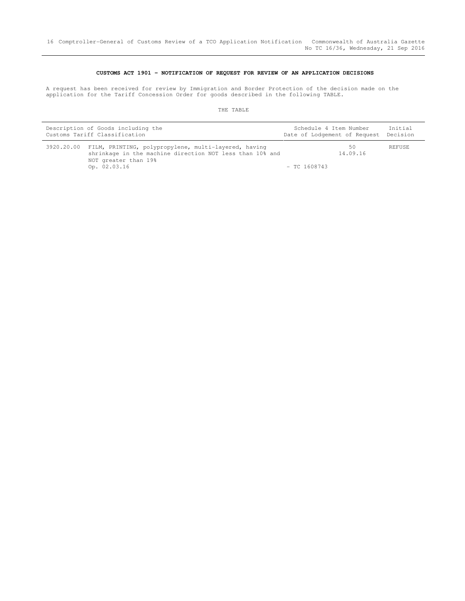### **CUSTOMS ACT 1901 - NOTIFICATION OF REQUEST FOR REVIEW OF AN APPLICATION DECISIONS**

 A request has been received for review by Immigration and Border Protection of the decision made on the application for the Tariff Concession Order for goods described in the following TABLE.

| Description of Goods including the |                                                                                                                                                                     | Schedule 4 Item Number       |                | Initial  |
|------------------------------------|---------------------------------------------------------------------------------------------------------------------------------------------------------------------|------------------------------|----------------|----------|
| Customs Tariff Classification      |                                                                                                                                                                     | Date of Lodgement of Request |                | Decision |
|                                    | 3920.20.00 FILM, PRINTING, polypropylene, multi-layered, having<br>shrinkage in the machine direction NOT less than 10% and<br>NOT greater than 19%<br>Op. 02.03.16 | $-$ TC 1608743               | 50<br>14.09.16 | REFUSE   |